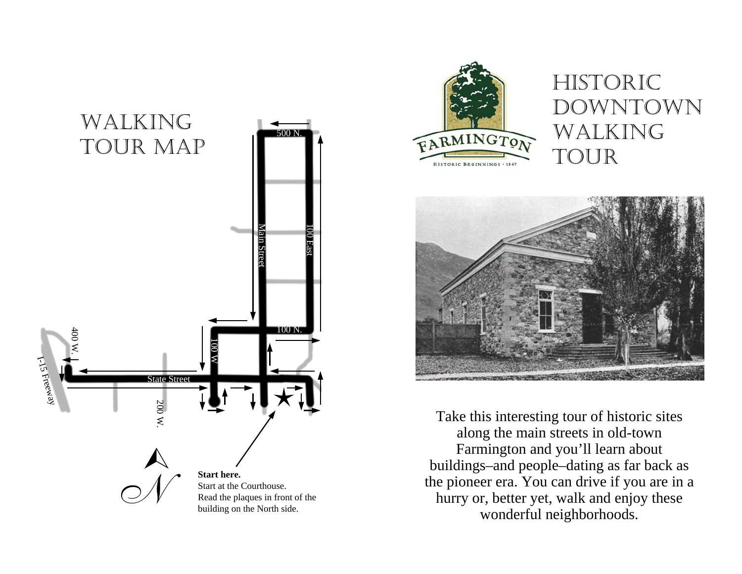



# HISTORIC DOWNTOWN WALKING TOUR



Take this interesting tour of historic sites along the main streets in old-town Farmington and you'll learn about buildings–and people–dating as far back as the pioneer era. You can drive if you are in a hurry or, better yet, walk and enjoy these wonderful neighborhoods.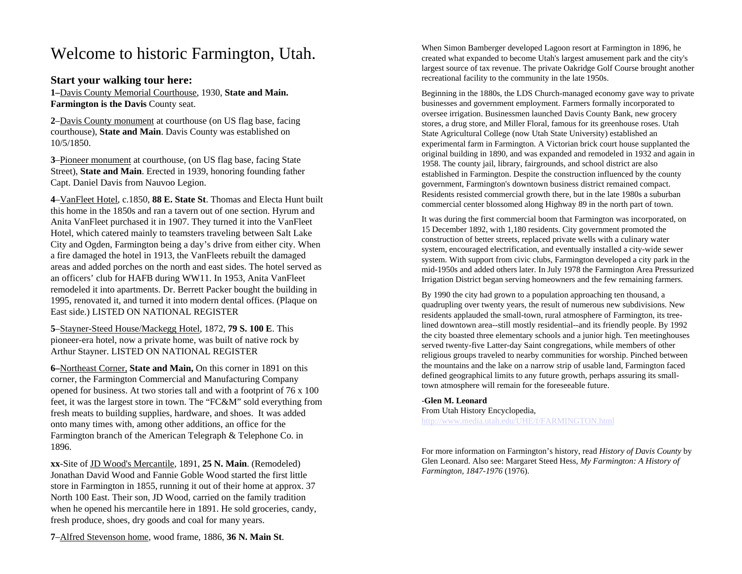# Welcome to historic Farmington, Utah.

## **Start your walking tour here:**

**1–**Davis County Memorial Courthouse, 1930, **State and Main. Farmington is the Davis County seat.** 

**2**–Davis County monument at courthouse (on US flag base, facing courthouse), **State and Main**. Davis County was established on 10/5/1850.

**3**–Pioneer monument at courthouse, (on US flag base, facing State Street), **State and Main**. Erected in 1939, honoring founding father Capt. Daniel Davis from Nauvoo Legion.

**4**–VanFleet Hotel, c.1850, **88 E. State St**. Thomas and Electa Hunt built this home in the 1850s and ran a tavern out of one section. Hyrum and Anita VanFleet purchased it in 1907. They turned it into the VanFleet Hotel, which catered mainly to teamsters traveling between Salt Lake City and Ogden, Farmington being a day's drive from either city. When a fire damaged the hotel in 1913, the VanFleets rebuilt the damaged areas and added porches on the north and east sides. The hotel served as an officers' club for HAFB during WW11. In 1953, Anita VanFleet remodeled it into apartments. Dr. Berrett Packer bought the building in 1995, renovated it, and turned it into modern dental offices. (Plaque on East side.) LISTED ON NATIONAL REGISTER

**5**–Stayner-Steed House/Mackegg Hotel, 1872, **79 S. 100 E**. This pioneer-era hotel, now a private home, was built of native rock by Arthur Stayner. LISTED ON NATIONAL REGISTER

**6–**Northeast Corner, **State and Main,** On this corner in 1891 on this corner, the Farmington Commercial and Manufacturing Company opened for business. At two stories tall and with a footprint of 76 x 100 feet, it was the largest store in town. The "FC&M" sold everything from fresh meats to building sup plies, hardware, and shoes. It was added onto many times with, among other additions, an office for the Farmington branch of the American Telegraph & Telephone Co. in 1896.

**xx**-Site of JD Wood's Mercantile, 1891, **25 N. Main**. (Remodeled) Jonathan David Wood and Fannie Goble Wood started the first little store in Farmington in 1855, running it out of their home at approx. 37 North 100 East. Their son, JD Wood, carried on the family tradition when he opened his mercantile here in 1891. He sold groceries, candy, fresh produce, shoes, dry goods and coal for many years.

When Simon Bamberger developed Lagoon resort at Farmington in 1896, he created what expanded to become Utah's largest amusement park and the city's largest source of tax revenue. The private Oakridge Golf Course brought another recreational facility to the community in the late 1950s.

Beginning in the 1880s, the LDS Church-managed economy gave way to private businesses and government employment. Farmers formally incorporated to oversee irrigation. Businessmen launched Davis County Bank, new grocery stores, a drug store, and Miller Floral, famous for its greenhouse roses. Utah State Agricultural College (now Utah State University) established an experimental farm in Farmington. A Victorian brick court house supplanted the original building in 1890, and was expanded and remodeled in 1932 and again in 1958. The county jail, library, fairgrounds, and school district are also established in Farmington. Despite the construction influenced by the county government, Farmington's downtown business district remained compact. Residents resisted commercial growth there, but in the late 1980s a suburban commercial center blossomed along Highway 89 in the north part of town.

It was during the first commercial boom that Farmington was incorporated, on 15 December 1892, with 1,180 residents. City government promoted the construction of better streets, replaced private wells with a culinary water system, encouraged electrification, and eventually installed a city-wide sewer system. With support from civic clubs, Farmington developed a city park in the mid-1950s and added others later. In July 1978 the Farmington Area Pressurized Irrigation District began serving homeowners and the few remaining farmers.

By 1990 the city had grown to a population approaching ten thousand, a quadrupling over twenty years, the result of numerous new subdivisions. New residents applauded the small-town, rural atmosphere of Farmington, its treelined downtown area--still mostly residential--and its friendly people. By 1992 the city boasted three elementary schools and a junior high. Ten meetinghouses served twenty-five Latter-day Saint congregations, while members of other religious groups traveled to nearby co mmunities for worship. Pinched between the mountains and the lake on a narrow strip of usable land, Farmington faced defined geographical limits to any future growth, perhaps assuring its smalltown atmosphere will remain for the foreseeable future.

#### -**Glen M. Leonard**

From Utah History Encyclopedia, <http://www.media.utah.edu/UHE/f/FARMINGTON.html>

For more information on Farmington's history, read *History of Davis County* by Glen Leonard. Also see: Margaret Steed Hess, *My Farmington: A History of Farmington, 1847-1976* (1976).

**7**–Alfred Stevenson home, wood frame, 1886, **36 N. Main St**.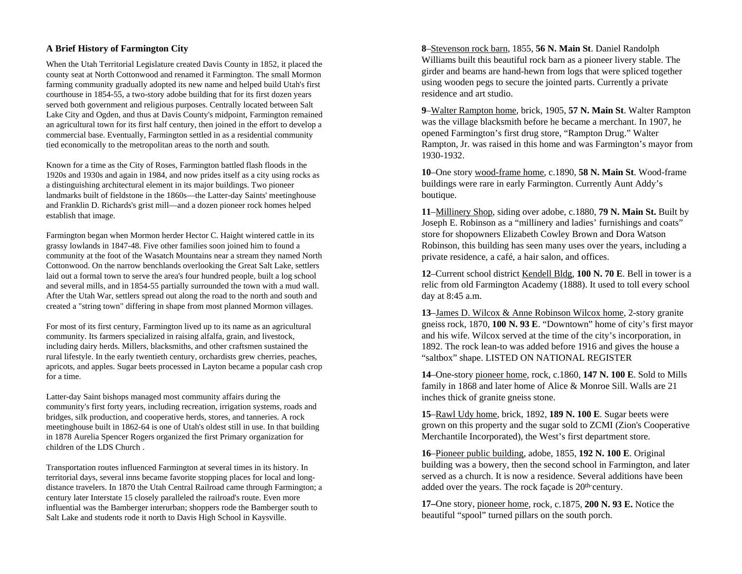### **A Brief History of Farmington City**

When the Utah Territorial Legislature created Davis County in 1852, it placed the county seat at North Cottonwood and renamed it Farmington. The small Mormon farming community gradually adopted its new name and helped build Utah's first courthouse in 1854-55, a two-story adobe building that for its first dozen years served both government and religious purposes. Centrally located between Salt Lake City and Ogden, and thus at Davis County's midpoint, Farmington remained an agricultural town for its first half century, then joined in the effort to develop a commercial base. Eventually, Farmington settled in as a residential community tied economically to the metropolitan areas to the north and south.

Known for a time as the City of Roses, Farmington battled flash floods in the 1920s and 1930s and again in 1984, and now prides itself as a city using rocks as a distinguishing architectural element in its major buildings. Two pioneer landmarks built of fieldstone in the 1860s—the Latter-day Saints' meetinghouse and Franklin D. Richards's grist mill—and a dozen pioneer rock homes helped establish that image.

Farmington began when Mormon herder Hector C. Haight wintered cattle in its grassy lowlands in 1847-48. Five other families soon joined him to found a community at the foot of the Wasatch Mountains near a stream they named North Cottonwood. On the narrow benchlands overlooking the Great Salt Lake, settlers laid out a formal town to serve the area's four hundred people, built a log school and several mills, and in 1854-55 partially surrounded the town with a mud wall. After the Utah War, settlers spread out along the road to the north and south and created a "string town" differing in shape from most planned Mormon villages.

For most of its first century, Farmington lived up to its name as an agricultural community. Its farmers specialized in raising alfalfa, grain, and livestock, including dairy herds. Millers, blacksmiths, and other craftsmen sustained the rural lifestyle. In the early twentieth century, orchardists grew cherries, peaches, apricots, and apples. Sugar beets processed in Layton became a popular cash crop for a time.

Latter-day Saint bishops managed most community affairs during the community's first forty years, including recreation, irrigation systems, roads and bridges, silk production, and cooperative herds, stores, and tanneries. A rock meetinghouse built in 1862-64 is one of Utah's oldest still in use. In that building in 1878 Aurelia Spencer Rogers organized the first Primary organization for children of the LDS Church .

Transportation routes influenced Farmington at several times in its history. In territorial days, several inns became favorite stopping places for local and longdistance travelers. In 1870 the Utah Central Railroad came through Farmington; a century later Interstate 15 closely paralleled the railroad's route. Even more influential was the Bamberger interurban; shoppers rode the Bamberger south to Salt Lake and students rode it north to Davis High School in Kaysville.

**8**–Stevenson rock barn, 1855, **56 N. Main St**. Daniel Randolph Williams built this beautiful rock barn as a pioneer livery stable. The girder and beams are hand-hewn from logs that were spliced together using wooden pegs to secure the jointed parts. Currently a private residence and art studio.

**9**–Walter Rampton home, brick, 1905, **57 N. Main St**. Walter Rampton was the village blacksmith before he became a merchant. In 1907, he opened Farmington's first drug store, "Rampton Drug." Walter Rampton, Jr. was raised in this home and was Farmington's mayor from 1930-1932.

**10**–One story wood-frame home, c.1890, **58 N. Main St**. Wood-frame buildings were rare in early Farmington. Currently Aunt Addy's boutique.

**11**–Millinery Shop, siding over adobe, c.1880, **79 N. Main St.** Built by Joseph E. Robinson as a "millinery and ladies' furnishings and coats" store for shopowners Elizabeth Cowley Brown and Dora Watson Robinson, this building has seen many uses over the years, including a private residence, a café, a hair salon, and offices.

**12**–Current school district Kendell Bldg, **100 N. 70 E**. Bell in tower is a relic from old Farmington Academy (1888). It used to toll every school day at 8:45 a.m.

**13**–James D. Wilcox & Anne Robinson Wilcox home, 2-story granite gneiss rock, 1870, **100 N. 93 E**. "Downtown" home of city's first mayor and his wife. Wilcox served at the time of the city's incorporation, in 1892. The rock lean-to was added before 1916 and gives the house a "saltbox" shape. LISTED ON NATIONAL REGISTER

**14**–One-story pioneer home, rock, c.1860, **147 N. 100 E**. Sold to Mills family in 1868 and later home of Alice & Monroe Sill. Walls are 21 inches thick of granite gneiss stone.

**15**–Rawl Udy home, brick, 1892, **189 N. 100 E**. Sugar beets were grown on this property and the sugar sold to ZCMI (Zion's Cooperative Merchantile Incorporated), the West's first department store.

**16**–Pioneer public building, adobe, 1855, **192 N. 10 0 E**. Original building was a bowery, then the second school in Farmington, and later served as a church. It is now a residence. Several additions have been added over the years. The rock façade is 20th-century.

**17–**One story, pioneer home, rock, c.1875, **200 N. 93 E.** Notice the beautiful "spool" turned pillars on the south porch.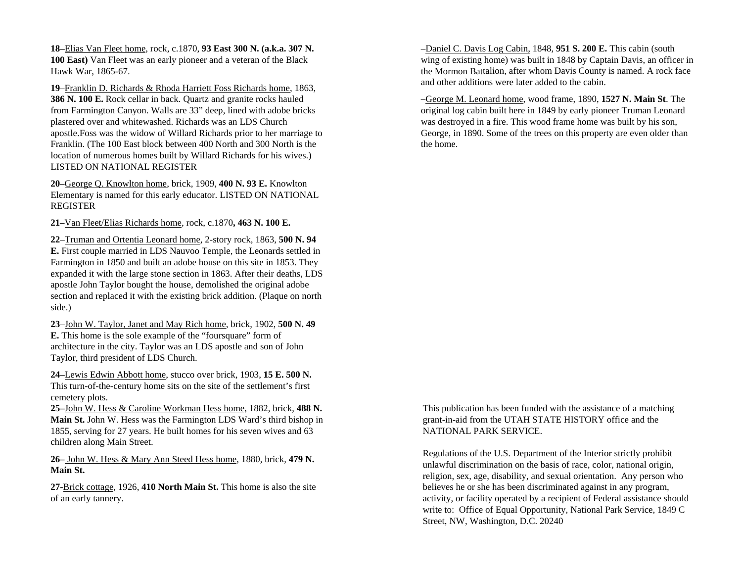**18–**Elias Van Fleet home, rock, c.1870, **93 East 300 N. (a.k.a. 307 N. 100 East)** Van Fleet was an early pioneer and a veteran of the Black Hawk War, 1865-67.

**19**–Franklin D. Richards & Rhoda Harriett Foss Richards home, 1863, **386 N. 100 E.** Rock cellar in back. Quartz and granite rocks hauled from Farmington Canyon. Walls are 33" deep, lined with adobe bricks plastered over and whitewashed. Richards was an LDS Church apostle.Foss was the widow of Willard Richards prior to her marriage to Franklin. (The 100 East block between 400 North and 300 North is the location of numerous homes built by Willard Richards for his wives.) LISTED ON NATIONAL REGISTER

**20**–George Q. Knowlton home, brick, 1909, **400 N. 93 E.** Knowlton Elementary is named for this early educator. LISTED ON NATIONAL REGISTER

**21**–Van Fleet/Elias Richards home, rock, c.1870**, 463 N. 100 E.**

**22**–Truman and Ortentia Leonard home, 2-story rock, 1863, **500 N. 94 E.** First couple married in LDS Nauvoo Temple, the Leonards settled in Farmington in 1850 and built an adobe house on this site in 1853. They expanded it with the large stone section in 1863. After their deaths, LDS apostle John Taylor bought the house, demolished the original adobe section and replaced it with the existing brick addition. (Plaque on north side.)

**23**–John W. Taylor, Janet and May Rich home, brick, 1902, **500 N. 49 E.** This home is the sole example of the "foursquare" form of architecture in the city. Taylor was an LDS apostle and son of John Taylor, third president of LDS Church.

**24**–Lewis Edwin Abbott home, stucco over brick, 1903, **15 E. 500 N.** This turn-of-the-century home sits on the site of the settlement's first cemetery plots.

**25–**John W. Hess & Caroline Workman Hess home, 1882, brick, **488 N. Main St.** John W. Hess was the Farmington LDS Ward's third bishop in 1855, serving for 27 years. He built homes for his seven wives and 63 children along Main Street.

**26–** John W. Hess & Mary Ann Steed Hess home, 1880, brick, **479 N. Main St.**

**27**-Brick cottage, 1926, **410 North Main St.** This home is also the site of an early tannery.

–Daniel C. Davis Log Cabin, 1848, **951 S. 200 E.** This cabin (south wing of existing home) was built in 1848 by Captain Davis, an officer in the Mormon Battalion, after whom Davis County is named. A rock face and other additions were later added to the cabin.

–George M. Leonard home, wood frame, 1890, **1527 N. Main St**. The original log cabin built here in 1849 by early pioneer Truman Leonard was destroyed in a fire. This wood frame home was built by his son, George, in 1890. Some of the trees on this property are even older than the home.

This publication has been funded with the assistance of a matching grant-in-aid from the UTAH STATE HISTORY office and the NATIONAL PARK SERVICE.

Regulations of the U.S. Department of the Interior strictly prohibit unlawful discrimination on the basis of race, color, national origin, religion, sex, age, disability, and sexual orientation. Any person who believes he or she has been discriminated against in any program, activity, or facility operated by a recipient of Federal assistance should write to: Office of Equal Opportunity, National Park Service, 1849 C Street, NW, Washington, D.C. 20240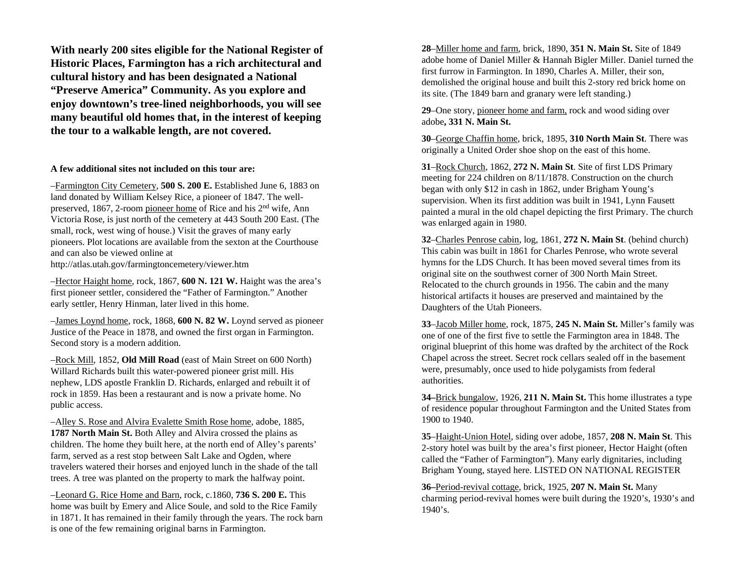**With nearly 200 sites eligible for the National Register of Historic Places, Farmington has a rich architectural and cultural history and has been designated a National "Preserve America" Community. As you explore and enjoy downtown's tree-lined neighborhoods, you will see many beautiful old homes that, in the interest of keeping the tour to a walkable length, are not covered.** 

#### **A few additional sites not included on this tour are:**

–Farmington City Cemetery, **500 S. 20 0 E.** Established June 6, 1883 on land donated by William Kelsey Rice, a pioneer of 1847. The wellpreserved, 1867, 2-room pioneer home of Rice and his 2n<sup>d</sup> wife, Ann Victoria Rose, is just north of the cemetery at 4 43 South 200 East. (The small, rock, west wing of house.) Visit the graves of many early pioneers. Plot locations are available from the sexton at the Courthouse and can also be viewed online at http://atlas.utah.gov/farmingtoncemetery/viewer.htm

–Hector Haight home, rock, 1867, **600 N. 121 W.** Haight was the area's first pioneer settler, considered the "Father of Farmington." Another early settler, Henry Hinman, later lived in this home.

–James Loynd home, rock, 1868, **600 N. 82 W.** Loynd served as pioneer Justice of the Peace in 1878, and owned the first organ in Farmington. Second story is a modern addition.

–Rock Mill, 1852, **Old Mill Road** (east of Main Street on 60 0 North) Willard Richards built this water-powered pioneer grist mill. His nephew, LDS apostle Franklin D. Richards, enlarged and rebuilt it of rock in 1859. Has been a restaurant and is now a private home. No public access.

–Alley S. Rose and Alvira Evalette Smith Rose home, adobe, 1885, **1787 North Main St.** Both Alley and Alvira crossed the plains as children. The home they built here, at the north end of Alley's parents' farm, served as a rest stop between Salt Lake and Ogden, where travelers watered their horses and enjoyed lunch in the shade of the tall trees. A tree was planted on the property to mark the halfway point.

–Leonard G. Rice Home and Barn, rock, c.1860, **736 S. 200 E.** This home was built by Emery and Alice Soule, and sold to the Rice Family in 1871. It has remained in their family through the years. The rock barn is one of the few remaining original barns in Farmington.

**28**–Miller home and farm, brick, 1890, **351 N. Main St.** Site of 1849 adobe home of Daniel Miller & Hannah Bigler Miller. Daniel turned the first furrow in Farmington. In 1890, Charles A. Miller, their son, demolished the original house and built this 2-story red brick home on its site. (The 1849 barn and granary were left standing.)

**29**–One story, pioneer home and farm, rock and wood siding over adobe**, 331 N. Main St.**

**30**–George Chaffin home, brick, 1895, **310 North Main St**. There was originally a United Order shoe shop on the east of this home.

**31**–Rock Church, 1862, **272 N. Main St**. Site of first LDS Primary meeting for 224 children on 8/11/1878. Construction on the church began with only \$12 in cash in 1862, under Brigham Young's supervision. When its first addition was built in 1941, Lynn Fausett painted a mural in the old chapel depicting the first Primary. The church was enlarged again in 1980.

**32**–Charles Penrose cabin, log, 1861, **272 N. Main St**. (behind church) This cabin was built in 1861 for Charles Penrose, who wrote several hymns for the LDS Church. It has been moved several times from its original site on the southwest corner of 300 North Main Street. Relocated to the church grounds in 1956. The cabin and the many historical artifacts it houses are preserved and maintained by the Daughters of the Utah Pioneers.

**33**–Jacob Miller home, rock, 1875, **245 N. Main St.** Miller's family was one of one of the first five to settle the Farmington area in 1848. The original blueprint of this home was drafted by the architect of the Rock Chapel across the street. Secret rock cellars sealed off in the basement were, presumably, once used to hide polygamists from federal authorities.

**34–**Brick bungalow, 1926, **211 N. Main St.** This home illustrates a type of residence popular throughout Farmington and the United States from 1900 to 1940.

**35**–Haight-Union Hotel, siding over adobe, 1857, **208 N. Main St**. This 2-story hotel was built by the area's first pioneer, Hector Haight (often called the "Father of Farmington"). Many early dignitaries, including Brigham Young, stayed here. LISTED ON NATIONAL REGISTER

**36–**Period-revival cottage, brick, 1925, **207 N. Main St.** Many charming period-revival homes were built during the 1920's, 1930's and 1940's.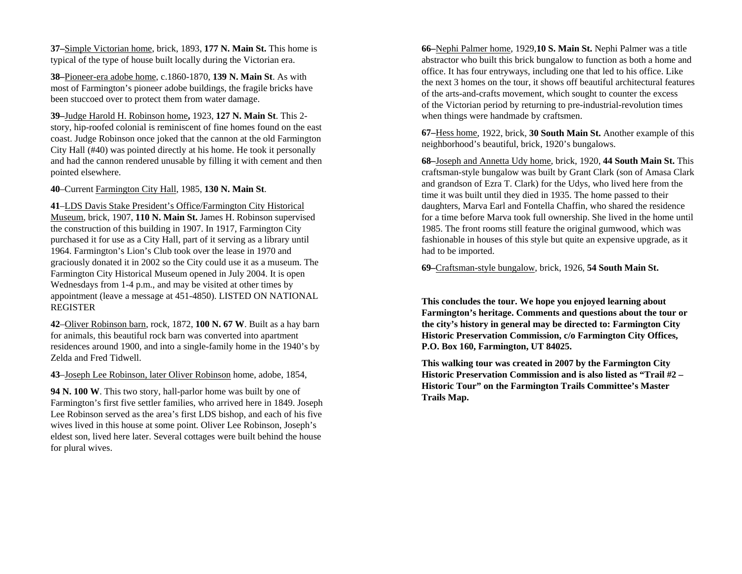**37–**Simple Victorian home, brick, 1893, **177 N. Main St.** This home is typical of the type of house built locally during the Victorian era.

**38–**Pioneer-era adobe home, c.1860-1870, **139 N. Main St**. As with most of Farmington's pioneer adobe buildings, the fragile bricks have been stuccoed over to protect them from water damage.

**39–**Judge Harold H. Robinson home**,** 1923, **127 N. Main St**. This 2 story, hip-roofed colonial is reminiscent of fine homes found on the east coast. Judge Robinson once joked that the cannon at the old Farmington City Hall (#40) was pointed directly at his home. He took it personally and had the cannon rendered unusable by filling it with cement and then pointed elsewhere.

**40**–Current Farmington City Hall, 1985, **130 N. Main St**.

**41**–LDS Davis Stake President's Office/Farmington City Historical Museum, brick, 1907, **110 N. Main St.** James H. Robinson supervised the construction of this building in 1907. In 1917, Farmington City purchased it for use as a City Hall, part of it serving as a library until 1964. Farmington's Lion's Club took over the lease in 1970 and graciously donated it in 2002 so the City could use it as a museum. The Farmington City Historical Museum opened in July 20 04. It is open Wednesdays from 1-4 p.m., and may be visited at other times by appointment (leave a message at 451-4850). LISTED ON NATIONAL REGISTER

**42**–Oliver Robinson barn, rock, 1872, **100 N. 67 W**. Built as a hay barn for animals, this beautiful rock barn was converted into apartment residences around 1900, and into a single-family home in the 1940's by Zelda and Fred Tidwell.

**43**–Joseph Lee Robinson, later Oliver Robinson home, adobe, 1854,

**94 N. 100 W**. This two story, hall-parlor home was built by one of Farmington's first five settler families, who arrived here in 1849. Joseph Lee Robinson served as the area's first LDS bishop, and each of his five wives lived in this house at some point. Oliver Lee Robinson, Joseph's eldest son, lived here later. Several cottages were built behind the house for plural wives.

**66–**Nephi Palmer home, 1929,**10 S. Main St.** Nephi Palmer was a title abstractor who built this brick bungalow to function as both a home and office. It has four entryways, including one that led to his office. Like the next 3 homes on the tour, it shows off beautiful architectural features of the arts-and-crafts movement, which sought to counter the excess of the Victorian period by returning to pre-industrial-revolution times when things were handmade by craftsmen.

**67–**Hess home, 1922, brick, **30 South Main St.** Another example of this neighborhood's beautiful, brick, 1920's bungalows.

**68–**Joseph and Annetta Udy home, brick, 1920, **44 South Main St.** This craftsman-style bungalow was built by Grant Clark (son of Amasa Clark and grandson of Ezra T. Clark) for the Udys, who lived here from the time it was built until they died in 1935. The home passed to their daughters, Marva Earl and Fontella Chaffin, who shared the residence for a time before Marva took full ownership. She lived in the home until 1985. The front rooms still feature the original gumwood, which was fashionable in houses of this style but quite an expensive upgrade, as it had to be imported.

**69–**Craftsman-style bungalow, brick, 1926, **54 South Main St.**

**This concludes the tour. We hope you enjoyed learning about Farmington's heritage. Comments and questions about the tour or the city's history in general may be directed to: Farmington City Historic Preservation Commission, c/o Farmington City Offices, P.O. Box 160, Farmington, UT 84025.** 

**This walking tour was created in 20 07 by the Farmington City Historic Preservation Commission and is also listed as "Trail #2 –Historic Tour" on the Farmington Trails Committee's Master Trails Map.**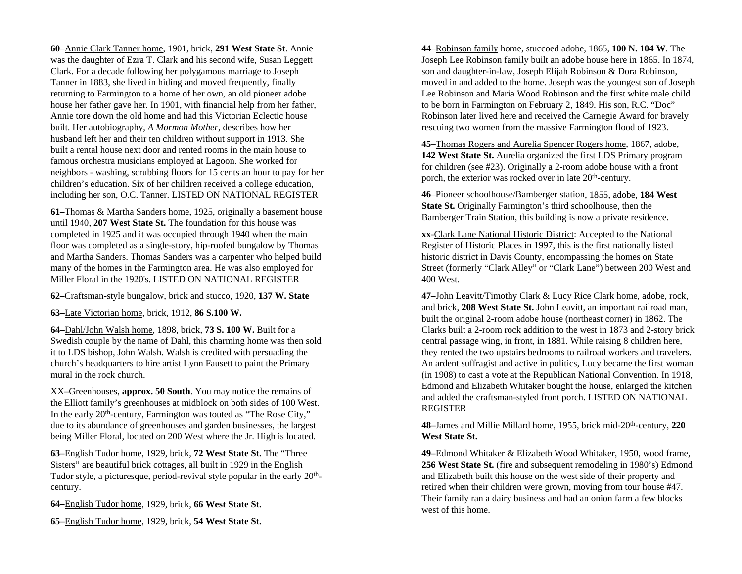**60**–Annie Clark Tanner home, 1901, brick, **291 West State St**. Annie was the daughter of Ezra T. Clark and his second wife, Susan Leggett Clark. For a decade following her polygamous marriage to Joseph Tanner in 1883, she lived in hiding and moved frequently, finally returning to Farmington to a home of her own, an old pioneer adobe house her father gave her. In 1901, with financial help from her father, Annie tore down the old home and had this Victorian Eclectic house built. Her autobiography, *A Mormon Mother*, describes how her husband left her and their ten children without support in 1913. She built a rental house next door and rented rooms in the main house to famous orchestra musicians employed at Lagoon. She worked for neighbors - washing, scrubbing floors for 15 cents an hour to pay for her children's education. Six of her children received a college education, including her son, O.C. Tanner. LISTED ON NATIONAL REGISTER

**61–**Thomas & Martha Sanders home, 1925, originally a basement house until 1940, **207 West State St.** The foundation for this house was completed in 1925 and it was occupied through 1940 when the main floor was completed as a single-story, hip-roofed bungalow by Thomas and Martha Sanders. Thomas Sanders was a carpenter who helped build many of the homes in the Farmington area. He was also employed for Miller Floral in the 1920's. LISTED ON NATIONAL REGISTER

**62–**Craftsman-style bungalow, brick and stucco, 1920, **137 W. State** 

**63–**Late Victorian home, brick, 1912, **86 S.100 W.**

**64–**Dahl/John Walsh home, 1898, brick, **73 S. 100 W.** Built for <sup>a</sup> Swedish couple by the name of Dahl, this charming home was then sold it to LDS bishop, John Walsh. Walsh is credited with persuading the church's headquarters to hire artist Lynn Fausett to paint the Primary mural in the rock church.

XX**–**Greenhouses, **approx. 50 South**. You may notice the remains of the Elliott family's greenhouses at midblock on both sides of 100 West. In the early 20<sup>th</sup>-century, Farmington was touted as "The Rose City," due to its abundance of greenhouses and garden businesses, the largest being Miller Floral, located on 200 West where the Jr. High is located.

**63–**English Tudor home, 1929, brick, **72 West State St.** The "Three Sisters" are beautiful brick cottages, all built in 1929 in the English Tudor style, a picturesque, period-revival style popular in the early 20<sup>th</sup>century.

**64–**English Tudor home, 1929, brick, **66 West State St.**

**65–**English Tudor home, 1929, brick, **54 West State St.**

**44**–Robinson family home, stuccoed adobe, 1865, **100 N. 104 W**. The Joseph Lee Robinson family built an adobe house here in 1865. In 1874, son and daughter-in-law, Joseph Elijah Robinson & Dora Robinson, moved in and added to the home. Joseph was the youngest son of Joseph Lee Robinson and Maria Wood Robinson and the first white male child to be born in Farmington on February 2, 1849. His son, R.C. "Doc" Robinson later lived here and received the Carnegie Award for bravely rescuing two women from the massive Farmington flood of 1923.

**45**–Thomas Rogers and Aurelia Spencer Rogers home, 1867, adobe, **142 West State St.** Aurelia organized the first LDS Primary program for children (see #23). Originally a 2-room adobe house with a front porch, the exterior was rocked over in late 20<sup>th</sup>-century.

**46**–Pioneer schoolhouse/Bamberger station, 1855, adobe, **184 West State St.** Originally Farmington's third schoolhouse, then the Bamberger Train Station, this building is now a private residence.

**xx**-Clark Lane National Historic District: Accepted to the National Register of Historic Places in 1997, this is the first nationally listed historic district in Davis County, encompassing the homes on State Street (formerly "Clark Alley" or "Clark Lane") between 200 West and 400 West.

**47–**John Leavitt/Timothy Clark & Lucy Rice Clark home, adobe, rock, and brick, **208 West State St.** John Leavitt, an important railroad man, built the original 2-room adobe house (northeast corner) in 1862. The Clarks built a 2-room rock addition to the west in 1873 and 2-story brick central passage wing, in front, in 1881. While raising 8 children here, they rented the two upstairs bedrooms to railroad workers and travelers. An ardent suffragist and active in politics, Lucy became the first woman (in 1908) to cast a vote at the Republican National Convention. In 1918, Edmond and Elizabeth Whitaker bought the house, enlarged the kitchen and added the craftsman-styled front porch. LISTED ON NATIONAL REGISTER

**48–**James and Millie Millard home, 1955, brick mid-20th-century, **220 West State St.**

**49–**Edmond Whitaker & Elizabeth Wood Whitaker, 1950, wood frame, **256 West State St.** (fire and subsequent remodeling in 1980's) Edmond and Elizabeth built this house on the west side of their property and retired when their children were grown, moving from tour house #47. Their family ran a dairy business and had an onion farm a few blocks west of this home.